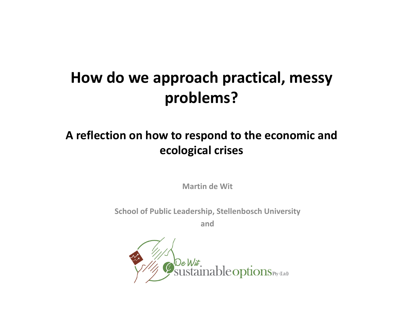#### How do we approach practical, messy problems?

#### A reflection on how to respond to the economic and ecological crises

Martin de Wit

School of Public Leadership, Stellenbosch University

and

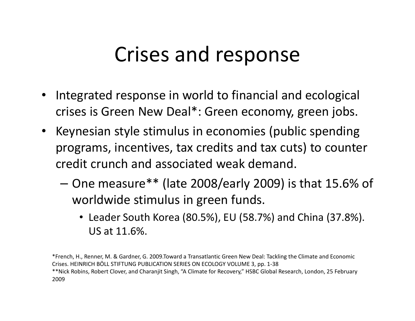#### Crises and response

- • Integrated response in world to financial and ecological crises is Green New Deal\*: Green economy, green jobs.
- Keynesian style stimulus in economies (public spending programs, incentives, tax credits and tax cuts) to counter credit crunch and associated weak demand.
	- $-$  One measure\*\* (late 2008/early 2009) is that 15.6% of worldwide stimulus in green funds.
		- Leader South Korea (80.5%), EU (58.7%) and China (37.8%). US at 11.6%.

\*French, H., Renner, M. & Gardner, G. 2009.Toward a Transatlantic Green New Deal: Tackling the Climate and Economic Crises. HEINRICH BÖLL STIFTUNG PUBLICATION SERIES ON ECOLOGY VOLUME 3, pp. 1-38 \*\*Nick Robins, Robert Clover, and Charanjit Singh, "A Climate for Recovery," HSBC Global Research, London, 25 February 2009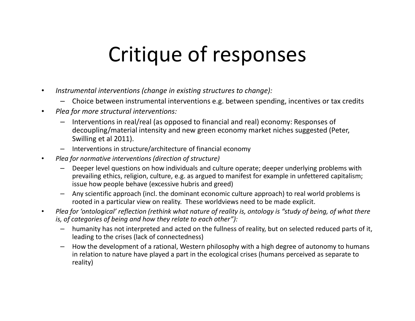#### Critique of responses

- • Instrumental interventions (change in existing structures to change):
	- Choice between instrumental interventions e.g. between spending, incentives or tax credits
- • Plea for more structural interventions:
	- Interventions in real/real (as opposed to financial and real) economy: Responses of decoupling/material intensity and new green economy market niches suggested (Peter, Swilling et al 2011).
	- Interventions in structure/architecture of financial economy
- • Plea for normative interventions (direction of structure)
	- Deeper level questions on how individuals and culture operate; deeper underlying problems with prevailing ethics, religion, culture, e.g. as argued to manifest for example in unfettered capitalism;issue how people behave (excessive hubris and greed)
	- – Any scientific approach (incl. the dominant economic culture approach) to real world problems is rooted in a particular view on reality. These worldviews need to be made explicit.
- • Plea for 'ontological' reflection (rethink what nature of reality is, ontology is "study of being, of what there is, of categories of being and how they relate to each other"):
	- humanity has not interpreted and acted on the fullness of reality, but on selected reduced parts of it, leading to the crises (lack of connectedness)
	- How the development of a rational, Western philosophy with a high degree of autonomy to humans in relation to nature have played a part in the ecological crises (humans perceived as separate to reality)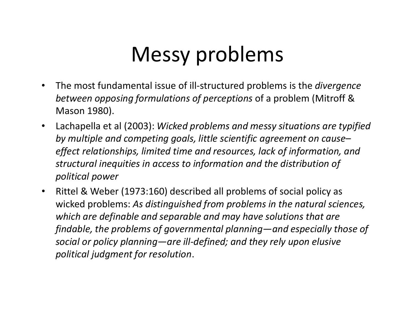# Messy problems

- $\bullet$ The most fundamental issue of ill-structured problems is the *divergence* between opposing formulations of perceptions of a problem (Mitroff & Mason 1980).
- $\bullet$  Lachapella et al (2003): Wicked problems and messy situations are typified by multiple and competing goals, little scientific agreement on cause– effect relationships, limited time and resources, lack of information, and structural inequities in access to information and the distribution of political power
- $\bullet$  Rittel & Weber (1973:160) described all problems of social policy as wicked problems: As distinguished from problems in the natural sciences, which are definable and separable and may have solutions that are findable, the problems of governmental planning—and especially those of social or policy planning—are ill-defined; and they rely upon elusive political judgment for resolution.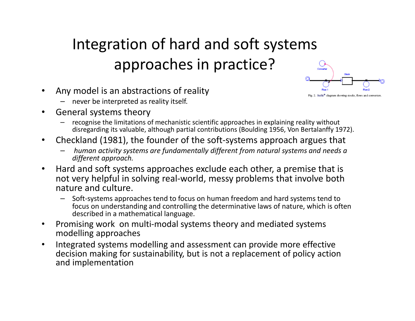#### Integration of hard and soft systems approaches in practice?

Fig. 2. Stella® diagram showing stocks, flows and converters

- $\bullet$  Any model is an abstractions of reality
	- never be interpreted as reality itself.
- • General systems theory
	- recognise the limitations of mechanistic scientific approaches in explaining reality without disregarding its valuable, although partial contributions (Boulding 1956, Von Bertalanffy 1972).
- $\bullet$  Checkland (1981), the founder of the soft-systems approach argues that
	- human activity systems are fundamentally different from natural systems and needs a different approach.
- $\bullet$  Hard and soft systems approaches exclude each other, a premise that is not very helpful in solving real-world, messy problems that involve both nature and culture.
	- Soft-systems approaches tend to focus on human freedom and hard systems tend to focus on understanding and controlling the determinative laws of nature, which is often described in a mathematical language.
- $\bullet$  Promising work on multi-modal systems theory and mediated systemsmodelling approaches
- $\bullet$  Integrated systems modelling and assessment can provide more effective decision making for sustainability, but is not a replacement of policy actionand implementation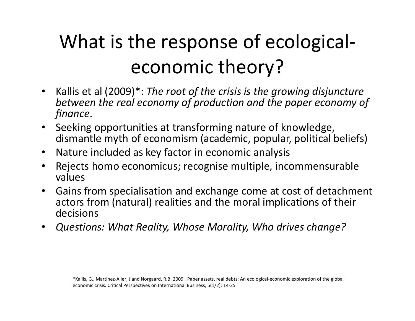#### What is the response of ecologicaleconomic theory?

- $\bullet$  Kallis et al (2009)\*: The root of the crisis is the growing disjuncture between the real economy of production and the paper economy of finance.
- Seeking opportunities at transforming nature of knowledge, dismantle myth of economism (academic, popular, political beliefs)
- $\bullet$ Nature included as key factor in economic analysis
- $\bullet$  Rejects homo economicus; recognise multiple, incommensurable values
- • Gains from specialisation and exchange come at cost of detachment actors from (natural) realities and the moral implications of their decisions
- $\bullet$ Questions: What Reality, Whose Morality, Who drives change?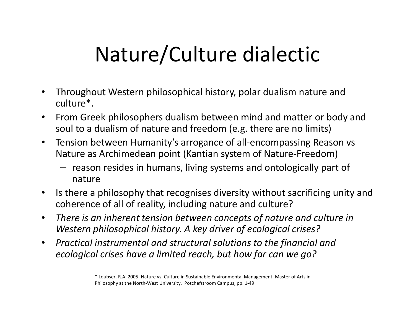# Nature/Culture dialectic

- $\bullet$  Throughout Western philosophical history, polar dualism nature and culture\*.
- • From Greek philosophers dualism between mind and matter or body and soul to a dualism of nature and freedom (e.g. there are no limits)
- $\bullet$  Tension between Humanity's arrogance of all-encompassing Reason vs Nature as Archimedean point (Kantian system of Nature-Freedom)
	- reason resides in humans, living systems and ontologically part of nature
- $\bullet$  Is there a philosophy that recognises diversity without sacrificing unity and coherence of all of reality, including nature and culture?
- $\bullet$  There is an inherent tension between concepts of nature and culture in Western philosophical history. A key driver of ecological crises?
- $\bullet$  Practical instrumental and structural solutions to the financial and ecological crises have a limited reach, but how far can we go?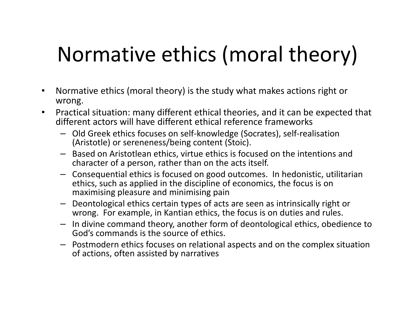# Normative ethics (moral theory)

- • Normative ethics (moral theory) is the study what makes actions right or wrong.
- $\bullet$  Practical situation: many different ethical theories, and it can be expected that different actors will have different ethical reference frameworks
	- Old Greek ethics focuses on self-knowledge (Socrates), self-realisation (Aristotle) or sereneness/being content (Stoic).
	- Based on Aristotlean ethics, virtue ethics is focused on the intentions and character of a person, rather than on the acts itself.
	- Consequential ethics is focused on good outcomes. In hedonistic, utilitarian ethics, such as applied in the discipline of economics, the focus is on maximising pleasure and minimising pain
	- Deontological ethics certain types of acts are seen as intrinsically right or wrong. For example, in Kantian ethics, the focus is on duties and rules.
	- In divine command theory, another form of deontological ethics, obedience to God's commands is the source of ethics.
	- Postmodern ethics focuses on relational aspects and on the complex situation<br>effections often assisted by normalizes of actions, often assisted by narratives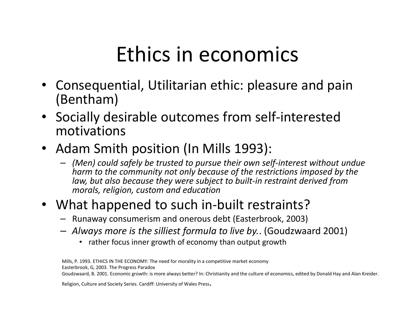#### Ethics in economics

- • Consequential, Utilitarian ethic: pleasure and pain(Bentham)
- Socially desirable outcomes from self-interested motivations
- Adam Smith position (In Mills 1993):
	- $-$  (Men) could safely be trusted to pursue their own self-interest without undue<br>began to the community not saly because of the restrictions impected by the harm to the community not only because of the restrictions imposed by the law, but also because they were subject to built-in restraint derived from morals, religion, custom and education

#### • What happened to such in-built restraints?

- Runaway consumerism and onerous debt (Easterbrook, 2003)
- Always more is the silliest formula to live by.. (Goudzwaard 2001)
	- rather focus inner growth of economy than output growth

Mills, P. 1993. ETHICS IN THE ECONOMY: The need for morality in a competitive market economyEasterbrook, G, 2003. The Progress ParadoxGoudzwaard, B. 2001. Economic growth: is more always better? In: Christianity and the culture of economics, edited by Donald Hay and Alan Kreider.

Religion, Culture and Society Series. Cardiff: University of Wales Press.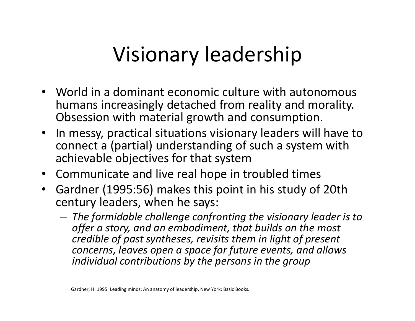#### Visionary leadership

- World in a dominant economic culture with autonomous humans increasingly detached from reality and morality. Obsession with material growth and consumption.
- In messy, practical situations visionary leaders will have to connect a (partial) understanding of such a system with achievable objectives for that system
- Communicate and live real hope in troubled times
- $\bullet$  Gardner (1995:56) makes this point in his study of 20th century leaders, when he says:
	- $-$  The formidable challenge confronting the visionary leader is to  $$ offer a story, and an embodiment, that builds on the most credible of past syntheses, revisits them in light of present concerns, leaves open a space for future events, and allows individual contributions by the persons in the group